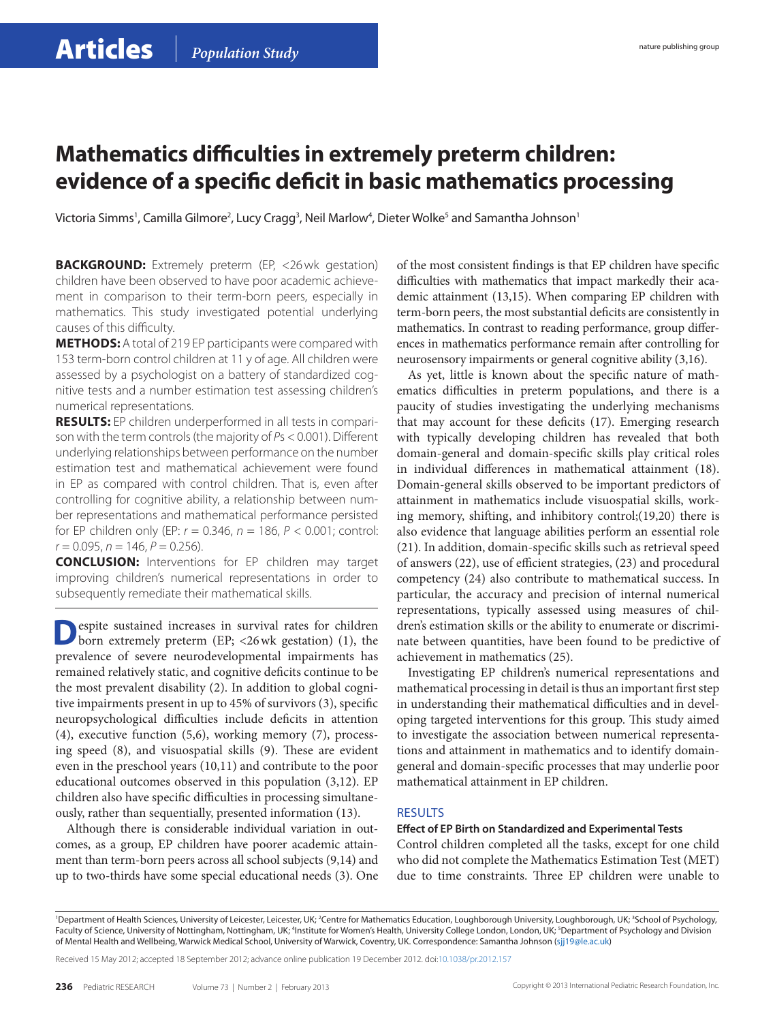### **Mathematics difficulties in extremely preterm children: evidence of a specific deficit in basic mathematics processing**

Victoria Simms', Camilla Gilmore<sup>2</sup>, Lucy Cragg<sup>3</sup>, Neil Marlow<sup>4</sup>, Dieter Wolke<sup>5</sup> and Samantha Johnson'

**BACKGROUND:** Extremely preterm (EP, <26wk gestation) children have been observed to have poor academic achievement in comparison to their term-born peers, especially in mathematics. This study investigated potential underlying causes of this difficulty.

**METHODS:** A total of 219 EP participants were compared with 153 term-born control children at 11 y of age. All children were assessed by a psychologist on a battery of standardized cognitive tests and a number estimation test assessing children's numerical representations.

**Results:** EP children underperformed in all tests in comparison with the term controls (the majority of *P*s < 0.001). Different underlying relationships between performance on the number estimation test and mathematical achievement were found in EP as compared with control children. That is, even after controlling for cognitive ability, a relationship between number representations and mathematical performance persisted for EP children only (EP: *r* = 0.346, *n* = 186, *P* < 0.001; control:  $r = 0.095$ ,  $n = 146$ ,  $P = 0.256$ ).

**Conclusion:** Interventions for EP children may target improving children's numerical representations in order to subsequently remediate their mathematical skills.

**D**espite sustained increases in survival rates for children born extremely preterm (EP; <26 wk gestation) (1), the prevalence of severe neurodevelopmental impairments has remained relatively static, and cognitive deficits continue to be the most prevalent disability (2). In addition to global cognitive impairments present in up to 45% of survivors (3), specific neuropsychological difficulties include deficits in attention (4), executive function (5,6), working memory (7), processing speed (8), and visuospatial skills (9). These are evident even in the preschool years (10,11) and contribute to the poor educational outcomes observed in this population (3,12). EP children also have specific difficulties in processing simultaneously, rather than sequentially, presented information (13).

Although there is considerable individual variation in outcomes, as a group, EP children have poorer academic attainment than term-born peers across all school subjects (9,14) and up to two-thirds have some special educational needs (3). One of the most consistent findings is that EP children have specific difficulties with mathematics that impact markedly their academic attainment (13,15). When comparing EP children with term-born peers, the most substantial deficits are consistently in mathematics. In contrast to reading performance, group differences in mathematics performance remain after controlling for neurosensory impairments or general cognitive ability (3,16).

As yet, little is known about the specific nature of mathematics difficulties in preterm populations, and there is a paucity of studies investigating the underlying mechanisms that may account for these deficits (17). Emerging research with typically developing children has revealed that both domain-general and domain-specific skills play critical roles in individual differences in mathematical attainment (18). Domain-general skills observed to be important predictors of attainment in mathematics include visuospatial skills, working memory, shifting, and inhibitory control;(19,20) there is also evidence that language abilities perform an essential role (21). In addition, domain-specific skills such as retrieval speed of answers (22), use of efficient strategies, (23) and procedural competency (24) also contribute to mathematical success. In particular, the accuracy and precision of internal numerical representations, typically assessed using measures of children's estimation skills or the ability to enumerate or discriminate between quantities, have been found to be predictive of achievement in mathematics (25).

Investigating EP children's numerical representations and mathematical processing in detail is thus an important first step in understanding their mathematical difficulties and in developing targeted interventions for this group. This study aimed to investigate the association between numerical representations and attainment in mathematics and to identify domaingeneral and domain-specific processes that may underlie poor mathematical attainment in EP children.

### **RESULTS**

### **Effect of EP Birth on Standardized and Experimental Tests**

Control children completed all the tasks, except for one child who did not complete the Mathematics Estimation Test (MET) due to time constraints. Three EP children were unable to

Received 15 May 2012; accepted 18 September 2012; advance online publication 19 December 2012. doi:[10.1038/pr.2012.157](http://www.nature.com/doifinder/10.1038/pr.2012.157)

<sup>&#</sup>x27;Department of Health Sciences, University of Leicester, Leicester, UK; <sup>2</sup>Centre for Mathematics Education, Loughborough University, Loughborough, UK; <sup>3</sup>School of Psychology, Faculty of Science, University of Nottingham, Nottingham, UK; <sup>4</sup>Institute for Women's Health, University College London, London, UK; <sup>5</sup>Department of Psychology and Division of Mental Health and Wellbeing, Warwick Medical School, University of Warwick, Coventry, UK. Correspondence: Samantha Johnson ([sjj19@le.ac.uk\)](mailto:sjj19@le.ac.uk)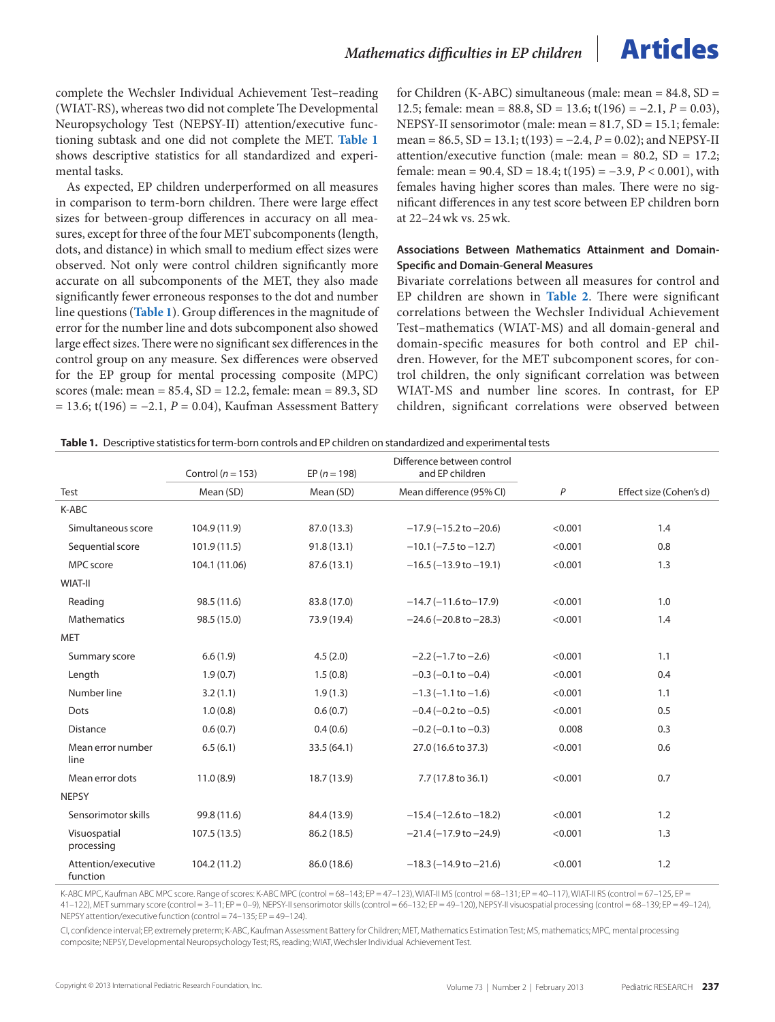complete the Wechsler Individual Achievement Test–reading (WIAT-RS), whereas two did not complete The Developmental Neuropsychology Test (NEPSY-II) attention/executive functioning subtask and one did not complete the MET. **Table 1** shows descriptive statistics for all standardized and experimental tasks.

As expected, EP children underperformed on all measures in comparison to term-born children. There were large effect sizes for between-group differences in accuracy on all measures, except for three of the four MET subcomponents (length, dots, and distance) in which small to medium effect sizes were observed. Not only were control children significantly more accurate on all subcomponents of the MET, they also made significantly fewer erroneous responses to the dot and number line questions (**Table 1**). Group differences in the magnitude of error for the number line and dots subcomponent also showed large effect sizes. There were no significant sex differences in the control group on any measure. Sex differences were observed for the EP group for mental processing composite (MPC) scores (male: mean = 85.4, SD = 12.2, female: mean = 89.3, SD = 13.6; t(196) = −2.1, *P* = 0.04), Kaufman Assessment Battery for Children (K-ABC) simultaneous (male: mean =  $84.8$ , SD = 12.5; female: mean = 88.8, SD = 13.6; t(196) = −2.1, *P* = 0.03), NEPSY-II sensorimotor (male: mean = 81.7, SD = 15.1; female: mean = 86.5, SD = 13.1; t(193) = −2.4, *P* = 0.02); and NEPSY-II attention/executive function (male: mean = 80.2, SD = 17.2; female: mean = 90.4, SD = 18.4; t(195) = −3.9, *P* < 0.001), with females having higher scores than males. There were no significant differences in any test score between EP children born at 22–24wk vs. 25wk.

### **Associations Between Mathematics Attainment and Domain-Specific and Domain-General Measures**

Bivariate correlations between all measures for control and EP children are shown in **[Table](#page-3-0) 2**. There were significant correlations between the Wechsler Individual Achievement Test–mathematics (WIAT-MS) and all domain-general and domain-specific measures for both control and EP children. However, for the MET subcomponent scores, for control children, the only significant correlation was between WIAT-MS and number line scores. In contrast, for EP children, significant correlations were observed between

| Table 1. Descriptive statistics for term-born controls and EP children on standardized and experimental tests |
|---------------------------------------------------------------------------------------------------------------|
|---------------------------------------------------------------------------------------------------------------|

|                                 | Control ( $n = 153$ ) | EP $(n = 198)$ | Difference between control<br>and EP children |         |                         |
|---------------------------------|-----------------------|----------------|-----------------------------------------------|---------|-------------------------|
| Test                            | Mean (SD)             | Mean (SD)      | Mean difference (95% CI)                      | P       | Effect size (Cohen's d) |
| K-ABC                           |                       |                |                                               |         |                         |
| Simultaneous score              | 104.9 (11.9)          | 87.0 (13.3)    | $-17.9(-15.2$ to $-20.6)$                     | < 0.001 | 1.4                     |
| Sequential score                | 101.9(11.5)           | 91.8(13.1)     | $-10.1$ ( $-7.5$ to $-12.7$ )                 | < 0.001 | 0.8                     |
| MPC score                       | 104.1 (11.06)         | 87.6 (13.1)    | $-16.5$ ( $-13.9$ to $-19.1$ )                | < 0.001 | 1.3                     |
| WIAT-II                         |                       |                |                                               |         |                         |
| Reading                         | 98.5 (11.6)           | 83.8 (17.0)    | $-14.7(-11.6 \text{ to} -17.9)$               | < 0.001 | 1.0                     |
| <b>Mathematics</b>              | 98.5 (15.0)           | 73.9 (19.4)    | $-24.6$ ( $-20.8$ to $-28.3$ )                | < 0.001 | 1.4                     |
| <b>MET</b>                      |                       |                |                                               |         |                         |
| Summary score                   | 6.6(1.9)              | 4.5(2.0)       | $-2.2$ ( $-1.7$ to $-2.6$ )                   | < 0.001 | 1.1                     |
| Length                          | 1.9(0.7)              | 1.5(0.8)       | $-0.3$ ( $-0.1$ to $-0.4$ )                   | < 0.001 | 0.4                     |
| Number line                     | 3.2(1.1)              | 1.9(1.3)       | $-1.3$ ( $-1.1$ to $-1.6$ )                   | < 0.001 | 1.1                     |
| Dots                            | 1.0(0.8)              | 0.6(0.7)       | $-0.4$ ( $-0.2$ to $-0.5$ )                   | < 0.001 | 0.5                     |
| <b>Distance</b>                 | 0.6(0.7)              | 0.4(0.6)       | $-0.2$ (-0.1 to $-0.3$ )                      | 0.008   | 0.3                     |
| Mean error number<br>line       | 6.5(6.1)              | 33.5 (64.1)    | 27.0 (16.6 to 37.3)                           | < 0.001 | 0.6                     |
| Mean error dots                 | 11.0(8.9)             | 18.7 (13.9)    | 7.7 (17.8 to 36.1)                            | < 0.001 | 0.7                     |
| <b>NEPSY</b>                    |                       |                |                                               |         |                         |
| Sensorimotor skills             | 99.8 (11.6)           | 84.4 (13.9)    | $-15.4 (-12.6 \text{ to } -18.2)$             | < 0.001 | 1.2                     |
| Visuospatial<br>processing      | 107.5(13.5)           | 86.2 (18.5)    | $-21.4(-17.9$ to $-24.9$ )                    | < 0.001 | 1.3                     |
| Attention/executive<br>function | 104.2 (11.2)          | 86.0 (18.6)    | $-18.3 (-14.9 to -21.6)$                      | < 0.001 | 1.2                     |

K-ABC MPC, Kaufman ABC MPC score. Range of scores: K-ABC MPC (control = 68–143; FP = 47–123), WIAT-II MS (control = 68–131; FP = 40–117), WIAT-II RS (control = 67–125, FP = 41–122), MET summary score (control = 3–11; EP = 0–9), NEPSY-II sensorimotor skills (control = 66–132; EP = 49–120), NEPSY-II visuospatial processing (control = 68–139; EP = 49–124), NEPSY attention/executive function (control = 74–135; EP = 49–124).

CI, confidence interval; EP, extremely preterm; K-ABC, Kaufman Assessment Battery for Children; MET, Mathematics Estimation Test; MS, mathematics; MPC, mental processing composite; NEPSY, Developmental Neuropsychology Test; RS, reading; WIAT, Wechsler Individual Achievement Test.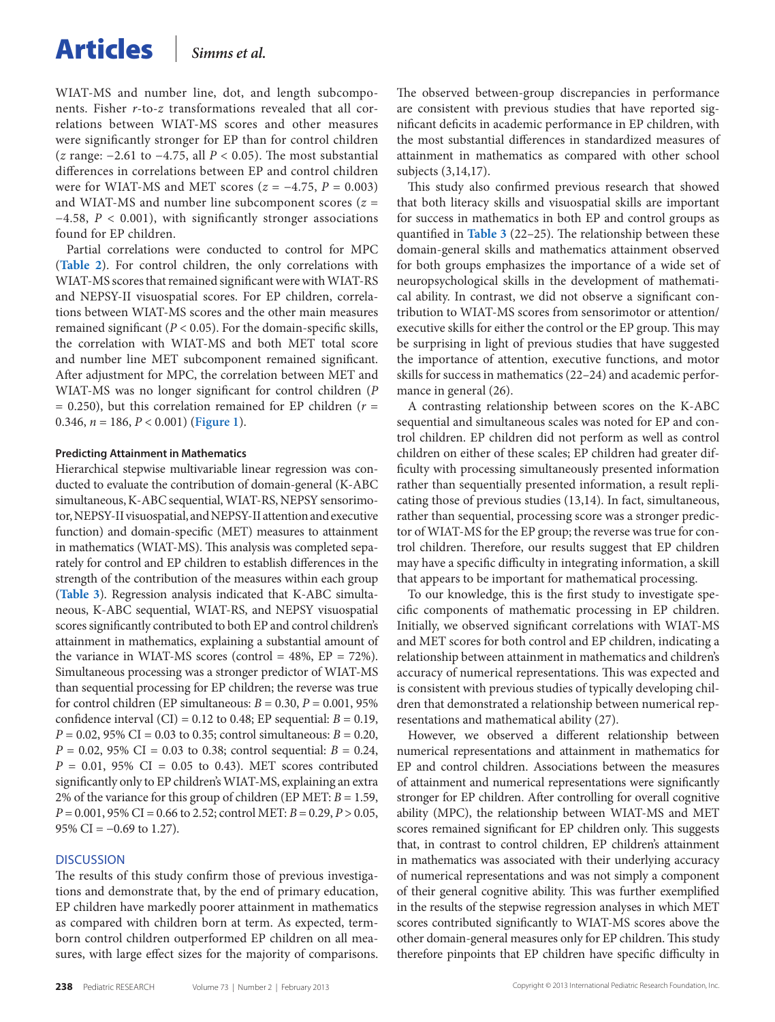WIAT-MS and number line, dot, and length subcomponents. Fisher *r*-to-*z* transformations revealed that all correlations between WIAT-MS scores and other measures were significantly stronger for EP than for control children (*z* range: −2.61 to −4.75, all *P* < 0.05). The most substantial differences in correlations between EP and control children were for WIAT-MS and MET scores  $(z = -4.75, P = 0.003)$ and WIAT-MS and number line subcomponent scores (*z* = −4.58, *P* < 0.001), with significantly stronger associations found for EP children.

Partial correlations were conducted to control for MPC (**[Table](#page-3-0) 2**). For control children, the only correlations with WIAT-MS scores that remained significant were with WIAT-RS and NEPSY-II visuospatial scores. For EP children, correlations between WIAT-MS scores and the other main measures remained significant ( $P < 0.05$ ). For the domain-specific skills, the correlation with WIAT-MS and both MET total score and number line MET subcomponent remained significant. After adjustment for MPC, the correlation between MET and WIAT-MS was no longer significant for control children (*P*  $= 0.250$ ), but this correlation remained for EP children ( $r =$ 0.346, *n* = 186, *P* < 0.001) (**[Figure](#page-5-0) 1**).

#### **Predicting Attainment in Mathematics**

Hierarchical stepwise multivariable linear regression was conducted to evaluate the contribution of domain-general (K-ABC simultaneous, K-ABC sequential, WIAT-RS, NEPSY sensorimotor, NEPSY-II visuospatial, and NEPSY-II attention and executive function) and domain-specific (MET) measures to attainment in mathematics (WIAT-MS). This analysis was completed separately for control and EP children to establish differences in the strength of the contribution of the measures within each group (**[Table](#page-5-0) 3**). Regression analysis indicated that K-ABC simultaneous, K-ABC sequential, WIAT-RS, and NEPSY visuospatial scores significantly contributed to both EP and control children's attainment in mathematics, explaining a substantial amount of the variance in WIAT-MS scores (control =  $48\%$ , EP =  $72\%$ ). Simultaneous processing was a stronger predictor of WIAT-MS than sequential processing for EP children; the reverse was true for control children (EP simultaneous:  $B = 0.30$ ,  $P = 0.001$ , 95% confidence interval (CI) =  $0.12$  to  $0.48$ ; EP sequential:  $B = 0.19$ ,  $P = 0.02$ , 95% CI = 0.03 to 0.35; control simultaneous:  $B = 0.20$ ,  $P = 0.02$ , 95% CI = 0.03 to 0.38; control sequential:  $B = 0.24$ ,  $P = 0.01, 95\% \text{ CI} = 0.05 \text{ to } 0.43$ . MET scores contributed significantly only to EP children's WIAT-MS, explaining an extra 2% of the variance for this group of children (EP MET: *B* = 1.59, *P* = 0.001, 95% CI = 0.66 to 2.52; control MET: *B* = 0.29, *P* > 0.05, 95% CI =  $-0.69$  to 1.27).

#### **DISCUSSION**

The results of this study confirm those of previous investigations and demonstrate that, by the end of primary education, EP children have markedly poorer attainment in mathematics as compared with children born at term. As expected, termborn control children outperformed EP children on all measures, with large effect sizes for the majority of comparisons.

The observed between-group discrepancies in performance are consistent with previous studies that have reported significant deficits in academic performance in EP children, with the most substantial differences in standardized measures of attainment in mathematics as compared with other school subjects (3,14,17).

This study also confirmed previous research that showed that both literacy skills and visuospatial skills are important for success in mathematics in both EP and control groups as quantified in **[Table](#page-5-0) 3** (22–25). The relationship between these domain-general skills and mathematics attainment observed for both groups emphasizes the importance of a wide set of neuropsychological skills in the development of mathematical ability. In contrast, we did not observe a significant contribution to WIAT-MS scores from sensorimotor or attention/ executive skills for either the control or the EP group. This may be surprising in light of previous studies that have suggested the importance of attention, executive functions, and motor skills for success in mathematics (22–24) and academic performance in general (26).

A contrasting relationship between scores on the K-ABC sequential and simultaneous scales was noted for EP and control children. EP children did not perform as well as control children on either of these scales; EP children had greater difficulty with processing simultaneously presented information rather than sequentially presented information, a result replicating those of previous studies (13,14). In fact, simultaneous, rather than sequential, processing score was a stronger predictor of WIAT-MS for the EP group; the reverse was true for control children. Therefore, our results suggest that EP children may have a specific difficulty in integrating information, a skill that appears to be important for mathematical processing.

To our knowledge, this is the first study to investigate specific components of mathematic processing in EP children. Initially, we observed significant correlations with WIAT-MS and MET scores for both control and EP children, indicating a relationship between attainment in mathematics and children's accuracy of numerical representations. This was expected and is consistent with previous studies of typically developing children that demonstrated a relationship between numerical representations and mathematical ability (27).

However, we observed a different relationship between numerical representations and attainment in mathematics for EP and control children. Associations between the measures of attainment and numerical representations were significantly stronger for EP children. After controlling for overall cognitive ability (MPC), the relationship between WIAT-MS and MET scores remained significant for EP children only. This suggests that, in contrast to control children, EP children's attainment in mathematics was associated with their underlying accuracy of numerical representations and was not simply a component of their general cognitive ability. This was further exemplified in the results of the stepwise regression analyses in which MET scores contributed significantly to WIAT-MS scores above the other domain-general measures only for EP children. This study therefore pinpoints that EP children have specific difficulty in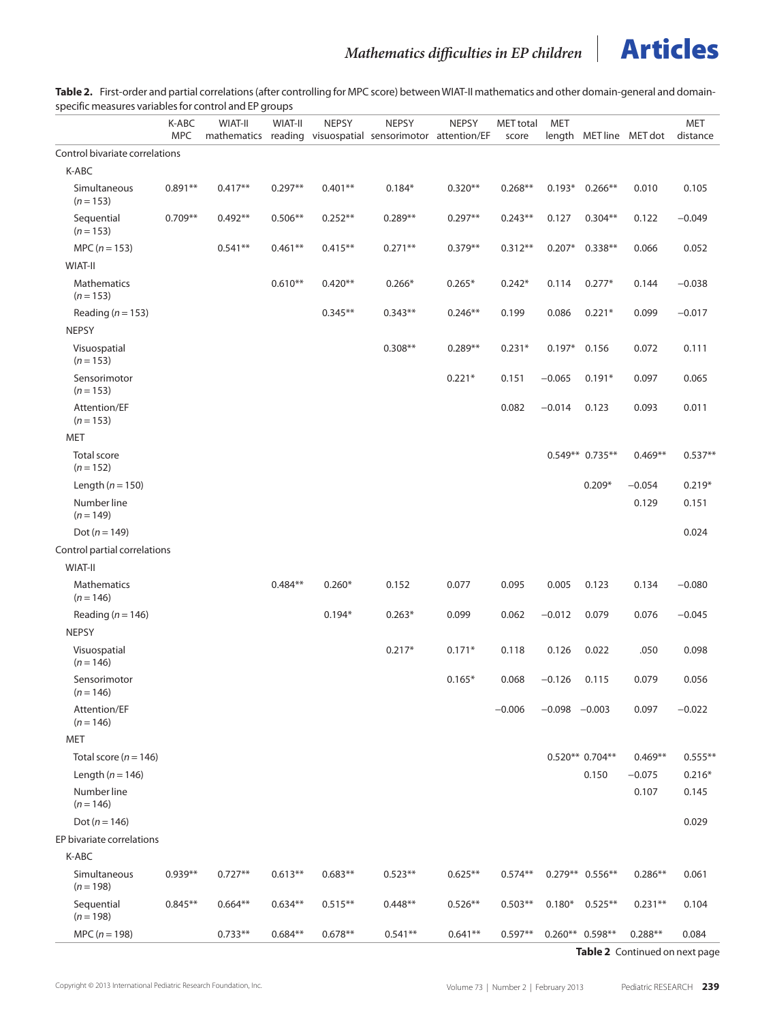<span id="page-3-0"></span>**Table 2.** First-order and partial correlations (after controlling for MPC score) between WIAT-II mathematics and other domain-general and domainspecific measures variables for control and EP groups

| specific incasares variables for control and EP groups |                     |           |           |              |                                                                            |              |                           |                 |                   |                         |                        |
|--------------------------------------------------------|---------------------|-----------|-----------|--------------|----------------------------------------------------------------------------|--------------|---------------------------|-----------------|-------------------|-------------------------|------------------------|
|                                                        | K-ABC<br><b>MPC</b> | WIAT-II   | WIAT-II   | <b>NEPSY</b> | <b>NEPSY</b><br>mathematics reading visuospatial sensorimotor attention/EF | <b>NEPSY</b> | <b>MET</b> total<br>score | MET             |                   | length MET line MET dot | <b>MET</b><br>distance |
| Control bivariate correlations                         |                     |           |           |              |                                                                            |              |                           |                 |                   |                         |                        |
| K-ABC                                                  |                     |           |           |              |                                                                            |              |                           |                 |                   |                         |                        |
| Simultaneous<br>$(n = 153)$                            | $0.891**$           | $0.417**$ | $0.297**$ | $0.401**$    | $0.184*$                                                                   | $0.320**$    | $0.268**$                 |                 | $0.193*0.266**$   | 0.010                   | 0.105                  |
| Sequential<br>$(n = 153)$                              | $0.709**$           | $0.492**$ | $0.506**$ | $0.252**$    | $0.289**$                                                                  | $0.297**$    | $0.243**$                 | 0.127           | $0.304**$         | 0.122                   | $-0.049$               |
| MPC ( $n = 153$ )                                      |                     | $0.541**$ | $0.461**$ | $0.415***$   | $0.271**$                                                                  | $0.379**$    | $0.312**$                 | $0.207*$        | $0.338**$         | 0.066                   | 0.052                  |
| WIAT-II                                                |                     |           |           |              |                                                                            |              |                           |                 |                   |                         |                        |
| Mathematics<br>$(n = 153)$                             |                     |           | $0.610**$ | $0.420**$    | $0.266*$                                                                   | $0.265*$     | $0.242*$                  | 0.114           | $0.277*$          | 0.144                   | $-0.038$               |
| Reading ( $n = 153$ )                                  |                     |           |           | $0.345**$    | $0.343**$                                                                  | $0.246**$    | 0.199                     | 0.086           | $0.221*$          | 0.099                   | $-0.017$               |
| <b>NEPSY</b>                                           |                     |           |           |              |                                                                            |              |                           |                 |                   |                         |                        |
| Visuospatial<br>$(n = 153)$                            |                     |           |           |              | $0.308**$                                                                  | $0.289**$    | $0.231*$                  | $0.197*$        | 0.156             | 0.072                   | 0.111                  |
| Sensorimotor<br>$(n = 153)$                            |                     |           |           |              |                                                                            | $0.221*$     | 0.151                     | $-0.065$        | $0.191*$          | 0.097                   | 0.065                  |
| Attention/EF<br>$(n = 153)$                            |                     |           |           |              |                                                                            |              | 0.082                     | $-0.014$        | 0.123             | 0.093                   | 0.011                  |
| <b>MET</b>                                             |                     |           |           |              |                                                                            |              |                           |                 |                   |                         |                        |
| <b>Total score</b><br>$(n = 152)$                      |                     |           |           |              |                                                                            |              |                           |                 | 0.549** 0.735**   | $0.469**$               | $0.537**$              |
| Length ( $n = 150$ )                                   |                     |           |           |              |                                                                            |              |                           |                 | $0.209*$          | $-0.054$                | $0.219*$               |
| Number line<br>$(n = 149)$                             |                     |           |           |              |                                                                            |              |                           |                 |                   | 0.129                   | 0.151                  |
| Dot ( $n = 149$ )                                      |                     |           |           |              |                                                                            |              |                           |                 |                   |                         | 0.024                  |
| Control partial correlations                           |                     |           |           |              |                                                                            |              |                           |                 |                   |                         |                        |
| <b>WIAT-II</b>                                         |                     |           |           |              |                                                                            |              |                           |                 |                   |                         |                        |
| Mathematics<br>$(n = 146)$                             |                     |           | $0.484**$ | $0.260*$     | 0.152                                                                      | 0.077        | 0.095                     | 0.005           | 0.123             | 0.134                   | $-0.080$               |
| Reading ( $n = 146$ )                                  |                     |           |           | $0.194*$     | $0.263*$                                                                   | 0.099        | 0.062                     | $-0.012$        | 0.079             | 0.076                   | $-0.045$               |
| <b>NEPSY</b>                                           |                     |           |           |              |                                                                            |              |                           |                 |                   |                         |                        |
| Visuospatial<br>$(n = 146)$                            |                     |           |           |              | $0.217*$                                                                   | $0.171*$     | 0.118                     | 0.126           | 0.022             | .050                    | 0.098                  |
| Sensorimotor<br>$(n = 146)$                            |                     |           |           |              |                                                                            | $0.165*$     | 0.068                     | $-0.126$        | 0.115             | 0.079                   | 0.056                  |
| Attention/EF<br>$(n = 146)$                            |                     |           |           |              |                                                                            |              | $-0.006$                  | $-0.098 -0.003$ |                   | 0.097                   | $-0.022$               |
| <b>MET</b>                                             |                     |           |           |              |                                                                            |              |                           |                 |                   |                         |                        |
| Total score ( $n = 146$ )                              |                     |           |           |              |                                                                            |              |                           |                 | $0.520**0.704**$  | $0.469**$               | $0.555***$             |
| Length ( $n = 146$ )                                   |                     |           |           |              |                                                                            |              |                           |                 | 0.150             | $-0.075$                | $0.216*$               |
| Number line<br>$(n = 146)$                             |                     |           |           |              |                                                                            |              |                           |                 |                   | 0.107                   | 0.145                  |
| Dot ( $n = 146$ )                                      |                     |           |           |              |                                                                            |              |                           |                 |                   |                         | 0.029                  |
| EP bivariate correlations                              |                     |           |           |              |                                                                            |              |                           |                 |                   |                         |                        |
| K-ABC                                                  |                     |           |           |              |                                                                            |              |                           |                 |                   |                         |                        |
| Simultaneous<br>$(n = 198)$                            | $0.939**$           | $0.727**$ | $0.613**$ | $0.683**$    | $0.523**$                                                                  | $0.625**$    | $0.574**$                 |                 | $0.279**$ 0.556** | $0.286**$               | 0.061                  |
| Sequential<br>$(n = 198)$                              | $0.845**$           | $0.664**$ | $0.634**$ | $0.515**$    | $0.448**$                                                                  | $0.526**$    | $0.503**$                 | $0.180*$        | $0.525**$         | $0.231**$               | 0.104                  |
| $MPC (n = 198)$                                        |                     | $0.733**$ | $0.684**$ | $0.678**$    | $0.541**$                                                                  | $0.641**$    | $0.597**$                 |                 | $0.260**$ 0.598** | $0.288**$               | 0.084                  |

**Table 2** Continued on next page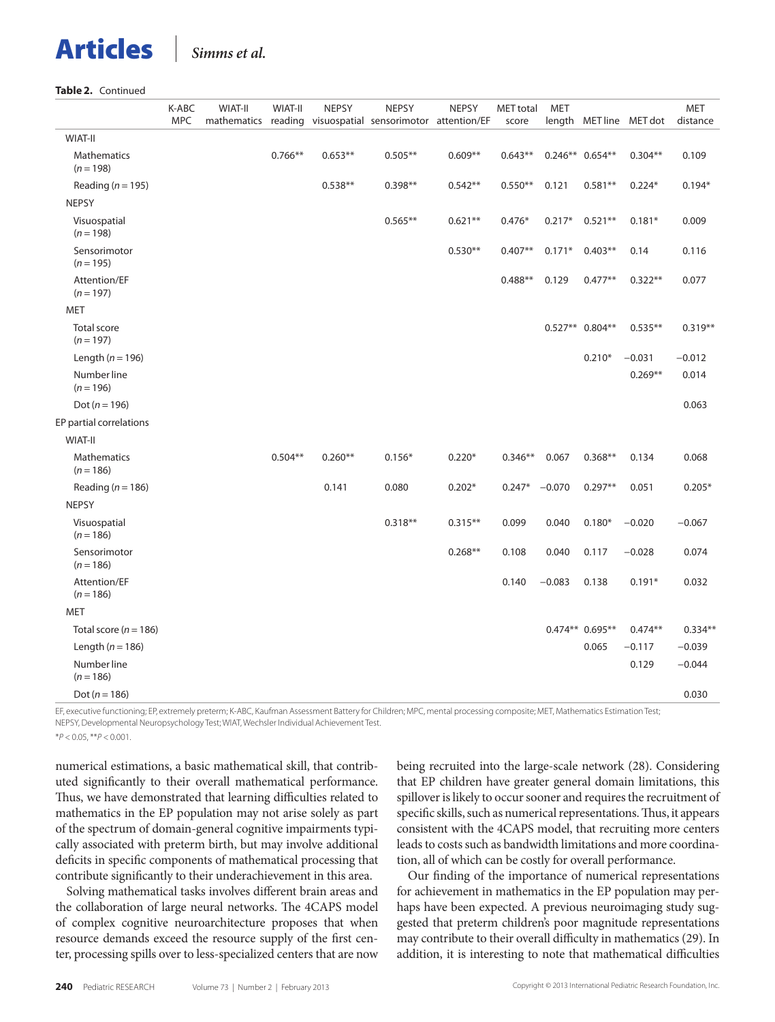#### **Table 2.** Continued

|                                   | K-ABC<br><b>MPC</b> | <b>WIAT-II</b> | <b>WIAT-II</b> | <b>NEPSY</b> | <b>NEPSY</b><br>mathematics reading visuospatial sensorimotor attention/EF | <b>NEPSY</b> | MET total<br>score | <b>MET</b> |                   | length MET line MET dot | <b>MET</b><br>distance |
|-----------------------------------|---------------------|----------------|----------------|--------------|----------------------------------------------------------------------------|--------------|--------------------|------------|-------------------|-------------------------|------------------------|
| <b>WIAT-II</b>                    |                     |                |                |              |                                                                            |              |                    |            |                   |                         |                        |
| <b>Mathematics</b><br>$(n = 198)$ |                     |                | $0.766**$      | $0.653**$    | $0.505**$                                                                  | $0.609**$    | $0.643**$          |            | $0.246**0.654**$  | $0.304**$               | 0.109                  |
| Reading ( $n = 195$ )             |                     |                |                | $0.538**$    | $0.398**$                                                                  | $0.542**$    | $0.550**$          | 0.121      | $0.581**$         | $0.224*$                | $0.194*$               |
| <b>NEPSY</b>                      |                     |                |                |              |                                                                            |              |                    |            |                   |                         |                        |
| Visuospatial<br>$(n = 198)$       |                     |                |                |              | $0.565**$                                                                  | $0.621**$    | $0.476*$           | $0.217*$   | $0.521**$         | $0.181*$                | 0.009                  |
| Sensorimotor<br>$(n = 195)$       |                     |                |                |              |                                                                            | $0.530**$    | $0.407**$          | $0.171*$   | $0.403**$         | 0.14                    | 0.116                  |
| Attention/EF<br>$(n = 197)$       |                     |                |                |              |                                                                            |              | $0.488**$          | 0.129      | $0.477**$         | $0.322**$               | 0.077                  |
| <b>MET</b>                        |                     |                |                |              |                                                                            |              |                    |            |                   |                         |                        |
| <b>Total score</b><br>$(n = 197)$ |                     |                |                |              |                                                                            |              |                    |            | $0.527**$ 0.804** | $0.535**$               | $0.319**$              |
| Length ( $n = 196$ )              |                     |                |                |              |                                                                            |              |                    |            | $0.210*$          | $-0.031$                | $-0.012$               |
| Number line<br>$(n = 196)$        |                     |                |                |              |                                                                            |              |                    |            |                   | $0.269**$               | 0.014                  |
| Dot ( $n = 196$ )                 |                     |                |                |              |                                                                            |              |                    |            |                   |                         | 0.063                  |
| EP partial correlations           |                     |                |                |              |                                                                            |              |                    |            |                   |                         |                        |
| WIAT-II                           |                     |                |                |              |                                                                            |              |                    |            |                   |                         |                        |
| <b>Mathematics</b><br>$(n = 186)$ |                     |                | $0.504**$      | $0.260**$    | $0.156*$                                                                   | $0.220*$     | $0.346**$          | 0.067      | $0.368**$         | 0.134                   | 0.068                  |
| Reading ( $n = 186$ )             |                     |                |                | 0.141        | 0.080                                                                      | $0.202*$     | $0.247*$           | $-0.070$   | $0.297**$         | 0.051                   | $0.205*$               |
| <b>NEPSY</b>                      |                     |                |                |              |                                                                            |              |                    |            |                   |                         |                        |
| Visuospatial<br>$(n = 186)$       |                     |                |                |              | $0.318**$                                                                  | $0.315**$    | 0.099              | 0.040      | $0.180*$          | $-0.020$                | $-0.067$               |
| Sensorimotor<br>$(n = 186)$       |                     |                |                |              |                                                                            | $0.268**$    | 0.108              | 0.040      | 0.117             | $-0.028$                | 0.074                  |
| Attention/EF<br>$(n = 186)$       |                     |                |                |              |                                                                            |              | 0.140              | $-0.083$   | 0.138             | $0.191*$                | 0.032                  |
| <b>MET</b>                        |                     |                |                |              |                                                                            |              |                    |            |                   |                         |                        |
| Total score ( $n = 186$ )         |                     |                |                |              |                                                                            |              |                    |            | 0.474** 0.695**   | $0.474**$               | $0.334**$              |
| Length ( $n = 186$ )              |                     |                |                |              |                                                                            |              |                    |            | 0.065             | $-0.117$                | $-0.039$               |
| Number line<br>$(n = 186)$        |                     |                |                |              |                                                                            |              |                    |            |                   | 0.129                   | $-0.044$               |
| Dot ( $n = 186$ )                 |                     |                |                |              |                                                                            |              |                    |            |                   |                         | 0.030                  |

EF, executive functioning; EP, extremely preterm; K-ABC, Kaufman Assessment Battery for Children; MPC, mental processing composite; MET, Mathematics Estimation Test; NEPSY, Developmental Neuropsychology Test; WIAT, Wechsler Individual Achievement Test. \**P* < 0.05, \*\**P* < 0.001.

numerical estimations, a basic mathematical skill, that contributed significantly to their overall mathematical performance. Thus, we have demonstrated that learning difficulties related to mathematics in the EP population may not arise solely as part of the spectrum of domain-general cognitive impairments typically associated with preterm birth, but may involve additional deficits in specific components of mathematical processing that contribute significantly to their underachievement in this area.

Solving mathematical tasks involves different brain areas and the collaboration of large neural networks. The 4CAPS model of complex cognitive neuroarchitecture proposes that when resource demands exceed the resource supply of the first center, processing spills over to less-specialized centers that are now being recruited into the large-scale network (28). Considering that EP children have greater general domain limitations, this spillover is likely to occur sooner and requires the recruitment of specific skills, such as numerical representations. Thus, it appears consistent with the 4CAPS model, that recruiting more centers leads to costs such as bandwidth limitations and more coordination, all of which can be costly for overall performance.

Our finding of the importance of numerical representations for achievement in mathematics in the EP population may perhaps have been expected. A previous neuroimaging study suggested that preterm children's poor magnitude representations may contribute to their overall difficulty in mathematics (29). In addition, it is interesting to note that mathematical difficulties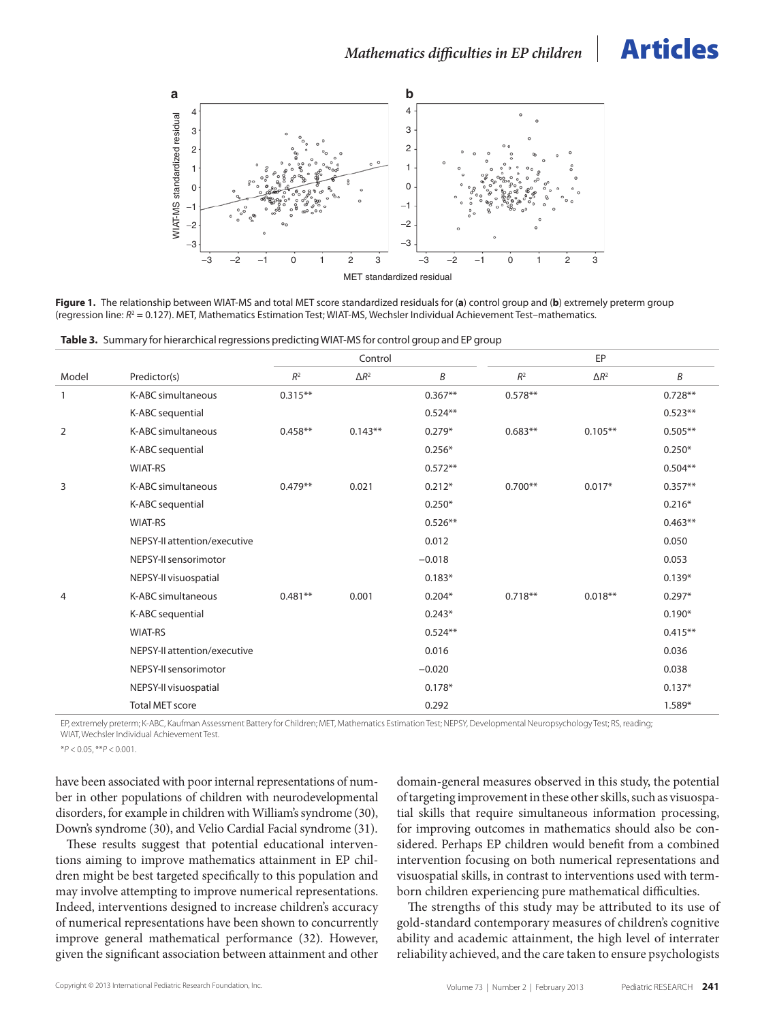<span id="page-5-0"></span>

**Figure 1.** The relationship between WIAT-MS and total MET score standardized residuals for (**a**) control group and (**b**) extremely preterm group (regression line:  $R^2$  = 0.127). MET, Mathematics Estimation Test; WIAT-MS, Wechsler Individual Achievement Test-mathematics.

**Table 3.** Summary for hierarchical regressions predicting WIAT-MS for control group and EP group

|              |                              | Control        |              |           |           | EP           |           |  |
|--------------|------------------------------|----------------|--------------|-----------|-----------|--------------|-----------|--|
| Model        | Predictor(s)                 | R <sup>2</sup> | $\Delta R^2$ | B         | $R^2$     | $\Delta R^2$ | B         |  |
| $\mathbf{1}$ | K-ABC simultaneous           | $0.315**$      |              | $0.367**$ | $0.578**$ |              | $0.728**$ |  |
|              | K-ABC sequential             |                |              | $0.524**$ |           |              | $0.523**$ |  |
| 2            | K-ABC simultaneous           | $0.458**$      | $0.143**$    | $0.279*$  | $0.683**$ | $0.105***$   | $0.505**$ |  |
|              | K-ABC sequential             |                |              | $0.256*$  |           |              | $0.250*$  |  |
|              | <b>WIAT-RS</b>               |                |              | $0.572**$ |           |              | $0.504**$ |  |
| 3            | K-ABC simultaneous           | $0.479**$      | 0.021        | $0.212*$  | $0.700**$ | $0.017*$     | $0.357**$ |  |
|              | K-ABC sequential             |                |              | $0.250*$  |           |              | $0.216*$  |  |
|              | <b>WIAT-RS</b>               |                |              | $0.526**$ |           |              | $0.463**$ |  |
|              | NEPSY-II attention/executive |                |              | 0.012     |           |              | 0.050     |  |
|              | NEPSY-II sensorimotor        |                |              | $-0.018$  |           |              | 0.053     |  |
|              | NEPSY-II visuospatial        |                |              | $0.183*$  |           |              | $0.139*$  |  |
| 4            | K-ABC simultaneous           | $0.481**$      | 0.001        | $0.204*$  | $0.718**$ | $0.018**$    | $0.297*$  |  |
|              | K-ABC sequential             |                |              | $0.243*$  |           |              | $0.190*$  |  |
|              | <b>WIAT-RS</b>               |                |              | $0.524**$ |           |              | $0.415**$ |  |
|              | NEPSY-II attention/executive |                |              | 0.016     |           |              | 0.036     |  |
|              | NEPSY-II sensorimotor        |                |              | $-0.020$  |           |              | 0.038     |  |
|              | NEPSY-II visuospatial        |                |              | $0.178*$  |           |              | $0.137*$  |  |
|              | <b>Total MET score</b>       |                |              | 0.292     |           |              | 1.589*    |  |

EP, extremely preterm; K-ABC, Kaufman Assessment Battery for Children; MET, Mathematics Estimation Test; NEPSY, Developmental Neuropsychology Test; RS, reading;

WIAT, Wechsler Individual Achievement Test.

\**P* < 0.05, \*\**P* < 0.001.

have been associated with poor internal representations of number in other populations of children with neurodevelopmental disorders, for example in children with William's syndrome (30), Down's syndrome (30), and Velio Cardial Facial syndrome (31).

These results suggest that potential educational interventions aiming to improve mathematics attainment in EP children might be best targeted specifically to this population and may involve attempting to improve numerical representations. Indeed, interventions designed to increase children's accuracy of numerical representations have been shown to concurrently improve general mathematical performance (32). However, given the significant association between attainment and other

domain-general measures observed in this study, the potential of targeting improvement in these other skills, such as visuospatial skills that require simultaneous information processing, for improving outcomes in mathematics should also be considered. Perhaps EP children would benefit from a combined intervention focusing on both numerical representations and visuospatial skills, in contrast to interventions used with termborn children experiencing pure mathematical difficulties.

The strengths of this study may be attributed to its use of gold-standard contemporary measures of children's cognitive ability and academic attainment, the high level of interrater reliability achieved, and the care taken to ensure psychologists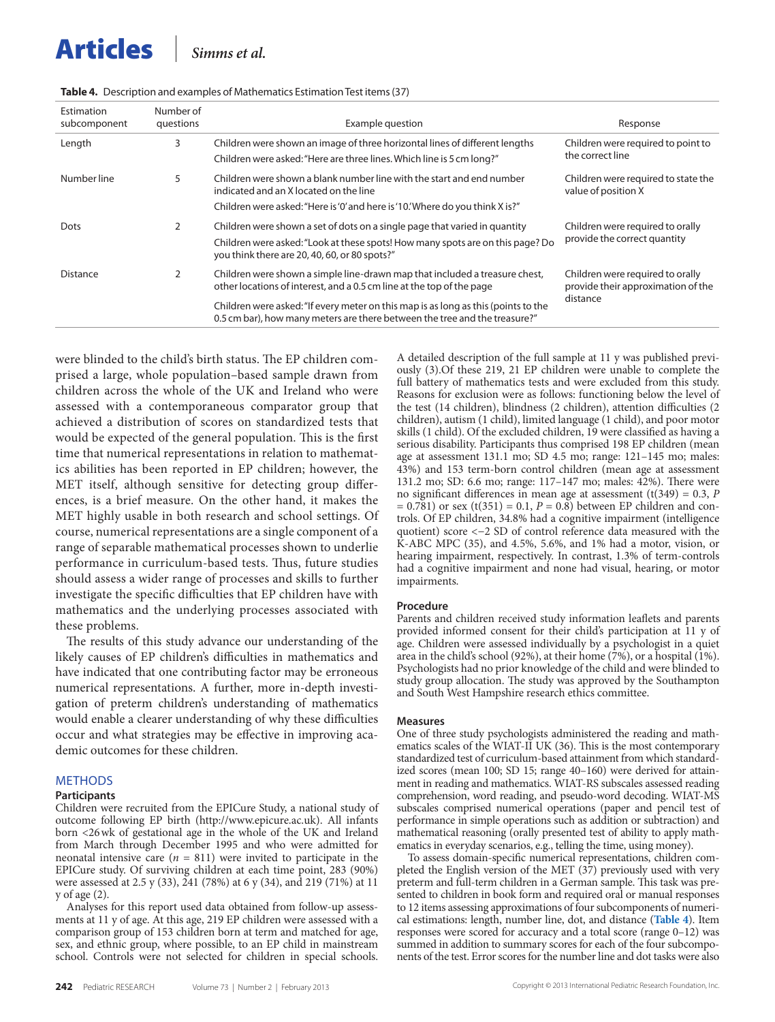| Estimation<br>subcomponent | Number of<br>questions | Example question                                                                                                                                                 | Response                                                               |
|----------------------------|------------------------|------------------------------------------------------------------------------------------------------------------------------------------------------------------|------------------------------------------------------------------------|
| Length                     | 3                      | Children were shown an image of three horizontal lines of different lengths<br>Children were asked: "Here are three lines. Which line is 5 cm long?"             | Children were required to point to<br>the correct line                 |
| Number line                | 5                      | Children were shown a blank number line with the start and end number<br>indicated and an X located on the line                                                  | Children were required to state the<br>value of position X             |
|                            |                        | Children were asked: "Here is '0' and here is '10.' Where do you think X is?"                                                                                    |                                                                        |
| Dots                       | 2                      | Children were shown a set of dots on a single page that varied in quantity                                                                                       | Children were required to orally                                       |
|                            |                        | Children were asked: "Look at these spots! How many spots are on this page? Do<br>you think there are 20, 40, 60, or 80 spots?"                                  | provide the correct quantity                                           |
| Distance                   | 2                      | Children were shown a simple line-drawn map that included a treasure chest,<br>other locations of interest, and a 0.5 cm line at the top of the page             | Children were required to orally<br>provide their approximation of the |
|                            |                        | Children were asked: "If every meter on this map is as long as this (points to the<br>0.5 cm bar), how many meters are there between the tree and the treasure?" | distance                                                               |
|                            |                        |                                                                                                                                                                  |                                                                        |

**Table 4.** Description and examples of Mathematics Estimation Test items (37)

were blinded to the child's birth status. The EP children comprised a large, whole population–based sample drawn from children across the whole of the UK and Ireland who were assessed with a contemporaneous comparator group that achieved a distribution of scores on standardized tests that would be expected of the general population. This is the first time that numerical representations in relation to mathematics abilities has been reported in EP children; however, the MET itself, although sensitive for detecting group differences, is a brief measure. On the other hand, it makes the MET highly usable in both research and school settings. Of course, numerical representations are a single component of a range of separable mathematical processes shown to underlie performance in curriculum-based tests. Thus, future studies should assess a wider range of processes and skills to further investigate the specific difficulties that EP children have with mathematics and the underlying processes associated with these problems.

The results of this study advance our understanding of the likely causes of EP children's difficulties in mathematics and have indicated that one contributing factor may be erroneous numerical representations. A further, more in-depth investigation of preterm children's understanding of mathematics would enable a clearer understanding of why these difficulties occur and what strategies may be effective in improving academic outcomes for these children.

#### **METHODS**

#### **Participants**

Children were recruited from the EPICure Study, a national study of outcome following EP birth ([http://www.epicure.ac.uk\).](http://www.epicure.ac.uk).) All infants born <26wk of gestational age in the whole of the UK and Ireland from March through December 1995 and who were admitted for neonatal intensive care  $(n = 811)$  were invited to participate in the EPICure study. Of surviving children at each time point, 283 (90%) were assessed at 2.5 y (33), 241 (78%) at 6 y (34), and 219 (71%) at 11 y of age (2).

Analyses for this report used data obtained from follow-up assessments at 11 y of age. At this age, 219 EP children were assessed with a comparison group of 153 children born at term and matched for age, sex, and ethnic group, where possible, to an EP child in mainstream school. Controls were not selected for children in special schools.

A detailed description of the full sample at 11 y was published previously (3).Of these 219, 21 EP children were unable to complete the full battery of mathematics tests and were excluded from this study. Reasons for exclusion were as follows: functioning below the level of the test (14 children), blindness (2 children), attention difficulties (2 children), autism (1 child), limited language (1 child), and poor motor skills (1 child). Of the excluded children, 19 were classified as having a serious disability. Participants thus comprised 198 EP children (mean age at assessment 131.1 mo; SD 4.5 mo; range: 121–145 mo; males: 43%) and 153 term-born control children (mean age at assessment 131.2 mo; SD: 6.6 mo; range: 117–147 mo; males: 42%). There were no significant differences in mean age at assessment  $(t(349) = 0.3, P$  $= 0.781$ ) or sex (t(351) = 0.1, *P* = 0.8) between EP children and controls. Of EP children, 34.8% had a cognitive impairment (intelligence quotient) score <−2 SD of control reference data measured with the K-ABC MPC (35), and 4.5%, 5.6%, and 1% had a motor, vision, or hearing impairment, respectively. In contrast, 1.3% of term-controls had a cognitive impairment and none had visual, hearing, or motor impairments.

#### **Procedure**

Parents and children received study information leaflets and parents provided informed consent for their child's participation at 11 y of age. Children were assessed individually by a psychologist in a quiet area in the child's school (92%), at their home (7%), or a hospital (1%). Psychologists had no prior knowledge of the child and were blinded to study group allocation. The study was approved by the Southampton and South West Hampshire research ethics committee.

#### **Measures**

One of three study psychologists administered the reading and mathematics scales of the WIAT-II UK (36). This is the most contemporary standardized test of curriculum-based attainment from which standardized scores (mean 100; SD 15; range 40–160) were derived for attainment in reading and mathematics. WIAT-RS subscales assessed reading comprehension, word reading, and pseudo-word decoding. WIAT-MS subscales comprised numerical operations (paper and pencil test of performance in simple operations such as addition or subtraction) and mathematical reasoning (orally presented test of ability to apply mathematics in everyday scenarios, e.g., telling the time, using money).

To assess domain-specific numerical representations, children completed the English version of the MET  $(37)$  previously used with very preterm and full-term children in a German sample. This task was presented to children in book form and required oral or manual responses to 12 items assessing approximations of four subcomponents of numerical estimations: length, number line, dot, and distance (**Table 4**). Item responses were scored for accuracy and a total score (range 0–12) was summed in addition to summary scores for each of the four subcomponents of the test. Error scores for the number line and dot tasks were also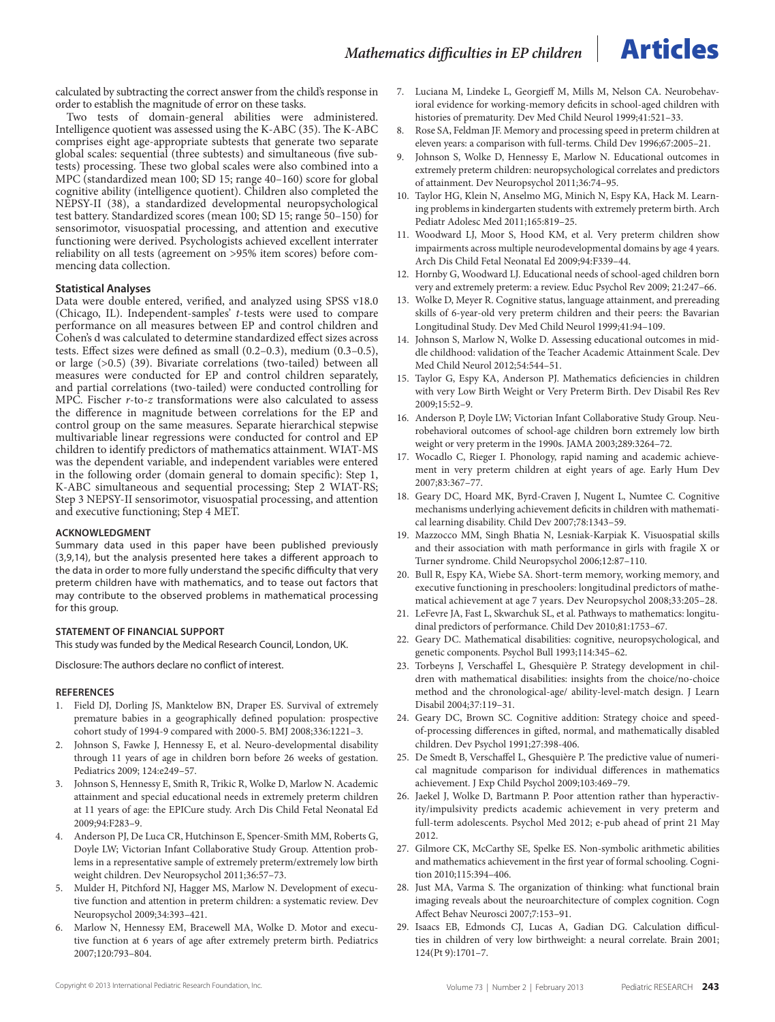calculated by subtracting the correct answer from the child's response in order to establish the magnitude of error on these tasks.

Two tests of domain-general abilities were administered. Intelligence quotient was assessed using the K-ABC (35). The K-ABC comprises eight age-appropriate subtests that generate two separate global scales: sequential (three subtests) and simultaneous (five subtests) processing. These two global scales were also combined into a MPC (standardized mean 100; SD 15; range 40–160) score for global cognitive ability (intelligence quotient). Children also completed the NEPSY-II (38), a standardized developmental neuropsychological test battery. Standardized scores (mean 100; SD 15; range 50–150) for sensorimotor, visuospatial processing, and attention and executive functioning were derived. Psychologists achieved excellent interrater reliability on all tests (agreement on >95% item scores) before commencing data collection.

#### **Statistical Analyses**

Data were double entered, verified, and analyzed using SPSS v18.0 (Chicago, IL). Independent-samples' *t*-tests were used to compare performance on all measures between EP and control children and Cohen's d was calculated to determine standardized effect sizes across tests. Effect sizes were defined as small (0.2–0.3), medium (0.3–0.5), or large (>0.5) (39). Bivariate correlations (two-tailed) between all measures were conducted for EP and control children separately, and partial correlations (two-tailed) were conducted controlling for MPC. Fischer *r*-to-*z* transformations were also calculated to assess the difference in magnitude between correlations for the EP and control group on the same measures. Separate hierarchical stepwise multivariable linear regressions were conducted for control and EP children to identify predictors of mathematics attainment. WIAT-MS was the dependent variable, and independent variables were entered in the following order (domain general to domain specific): Step 1, K-ABC simultaneous and sequential processing; Step 2 WIAT-RS; Step 3 NEPSY-II sensorimotor, visuospatial processing, and attention and executive functioning; Step 4 MET.

#### **ACKNOWLEDGMENT**

Summary data used in this paper have been published previously (3,9,14), but the analysis presented here takes a different approach to the data in order to more fully understand the specific difficulty that very preterm children have with mathematics, and to tease out factors that may contribute to the observed problems in mathematical processing for this group.

#### **Statement of Financial Support**

This study was funded by the Medical Research Council, London, UK.

Disclosure: The authors declare no conflict of interest.

#### **REFERENCES**

- 1. Field DJ, Dorling JS, Manktelow BN, Draper ES. Survival of extremely premature babies in a geographically defined population: prospective cohort study of 1994-9 compared with 2000-5. BMJ 2008;336:1221–3.
- 2. Johnson S, Fawke J, Hennessy E, et al. Neuro-developmental disability through 11 years of age in children born before 26 weeks of gestation. Pediatrics 2009; 124:e249–57.
- 3. Johnson S, Hennessy E, Smith R, Trikic R, Wolke D, Marlow N. Academic attainment and special educational needs in extremely preterm children at 11 years of age: the EPICure study. Arch Dis Child Fetal Neonatal Ed 2009;94:F283–9.
- 4. Anderson PJ, De Luca CR, Hutchinson E, Spencer-Smith MM, Roberts G, Doyle LW; Victorian Infant Collaborative Study Group. Attention problems in a representative sample of extremely preterm/extremely low birth weight children. Dev Neuropsychol 2011;36:57–73.
- 5. Mulder H, Pitchford NJ, Hagger MS, Marlow N. Development of executive function and attention in preterm children: a systematic review. Dev Neuropsychol 2009;34:393–421.
- 6. Marlow N, Hennessy EM, Bracewell MA, Wolke D. Motor and executive function at 6 years of age after extremely preterm birth. Pediatrics 2007;120:793–804.
- 7. Luciana M, Lindeke L, Georgieff M, Mills M, Nelson CA. Neurobehavioral evidence for working-memory deficits in school-aged children with histories of prematurity. Dev Med Child Neurol 1999;41:521–33.
- 8. Rose SA, Feldman JF. Memory and processing speed in preterm children at eleven years: a comparison with full-terms. Child Dev 1996;67:2005–21.
- 9. Johnson S, Wolke D, Hennessy E, Marlow N. Educational outcomes in extremely preterm children: neuropsychological correlates and predictors of attainment. Dev Neuropsychol 2011;36:74–95.
- 10. Taylor HG, Klein N, Anselmo MG, Minich N, Espy KA, Hack M. Learning problems in kindergarten students with extremely preterm birth. Arch Pediatr Adolesc Med 2011;165:819–25.
- 11. Woodward LJ, Moor S, Hood KM, et al. Very preterm children show impairments across multiple neurodevelopmental domains by age 4 years. Arch Dis Child Fetal Neonatal Ed 2009;94:F339–44.
- 12. Hornby G, Woodward LJ. Educational needs of school-aged children born very and extremely preterm: a review. Educ Psychol Rev 2009; 21:247–66.
- 13. Wolke D, Meyer R. Cognitive status, language attainment, and prereading skills of 6-year-old very preterm children and their peers: the Bavarian Longitudinal Study. Dev Med Child Neurol 1999;41:94–109.
- 14. Johnson S, Marlow N, Wolke D. Assessing educational outcomes in middle childhood: validation of the Teacher Academic Attainment Scale. Dev Med Child Neurol 2012;54:544–51.
- 15. Taylor G, Espy KA, Anderson PJ. Mathematics deficiencies in children with very Low Birth Weight or Very Preterm Birth. Dev Disabil Res Rev 2009;15:52–9.
- 16. Anderson P, Doyle LW; Victorian Infant Collaborative Study Group. Neurobehavioral outcomes of school-age children born extremely low birth weight or very preterm in the 1990s. JAMA 2003;289:3264–72.
- 17. Wocadlo C, Rieger I. Phonology, rapid naming and academic achievement in very preterm children at eight years of age. Early Hum Dev 2007;83:367–77.
- 18. Geary DC, Hoard MK, Byrd-Craven J, Nugent L, Numtee C. Cognitive mechanisms underlying achievement deficits in children with mathematical learning disability. Child Dev 2007;78:1343–59.
- 19. Mazzocco MM, Singh Bhatia N, Lesniak-Karpiak K. Visuospatial skills and their association with math performance in girls with fragile X or Turner syndrome. Child Neuropsychol 2006;12:87–110.
- 20. Bull R, Espy KA, Wiebe SA. Short-term memory, working memory, and executive functioning in preschoolers: longitudinal predictors of mathematical achievement at age 7 years. Dev Neuropsychol 2008;33:205–28.
- 21. LeFevre JA, Fast L, Skwarchuk SL, et al. Pathways to mathematics: longitudinal predictors of performance. Child Dev 2010;81:1753–67.
- 22. Geary DC. Mathematical disabilities: cognitive, neuropsychological, and genetic components. Psychol Bull 1993;114:345–62.
- 23. Torbeyns J, Verschaffel L, Ghesquière P. Strategy development in children with mathematical disabilities: insights from the choice/no-choice method and the chronological-age/ ability-level-match design. J Learn Disabil 2004;37:119–31.
- 24. Geary DC, Brown SC. Cognitive addition: Strategy choice and speedof-processing differences in gifted, normal, and mathematically disabled children. Dev Psychol 1991;27:398-406.
- 25. De Smedt B, Verschaffel L, Ghesquière P. The predictive value of numerical magnitude comparison for individual differences in mathematics achievement. J Exp Child Psychol 2009;103:469–79.
- 26. Jaekel J, Wolke D, Bartmann P. Poor attention rather than hyperactivity/impulsivity predicts academic achievement in very preterm and full-term adolescents. Psychol Med 2012; e-pub ahead of print 21 May 2012.
- 27. Gilmore CK, McCarthy SE, Spelke ES. Non-symbolic arithmetic abilities and mathematics achievement in the first year of formal schooling. Cognition 2010;115:394–406.
- 28. Just MA, Varma S. The organization of thinking: what functional brain imaging reveals about the neuroarchitecture of complex cognition. Cogn Affect Behav Neurosci 2007;7:153–91.
- 29. Isaacs EB, Edmonds CJ, Lucas A, Gadian DG. Calculation difficulties in children of very low birthweight: a neural correlate. Brain 2001; 124(Pt 9):1701–7.